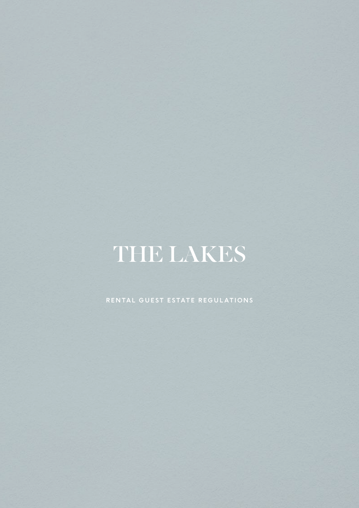# THE LAKES

**RENTAL GUEST ESTATE REGULATIONS**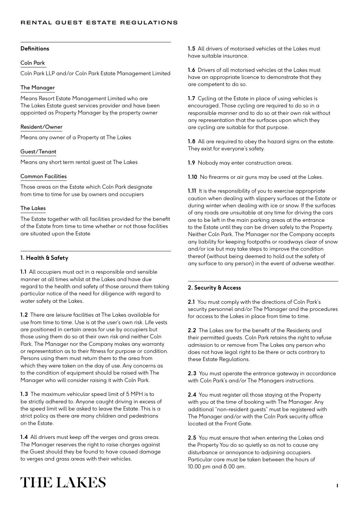#### **Definitions**

#### Coln Park

Coln Park LLP and/or Coln Park Estate Management Limited

#### The Manager

Means Resort Estate Management Limited who are The Lakes Estate guest services provider and have been appointed as Property Manager by the property owner

#### Resident/Owner

Means any owner of a Property at The Lakes

#### Guest/Tenant

Means any short term rental guest at The Lakes

#### Common Facilities

Those areas on the Estate which Coln Park designate from time to time for use by owners and occupiers

#### The Lakes

The Estate together with all facilities provided for the benefit of the Estate from time to time whether or not those facilities are situated upon the Estate

### **1. Health & Safety**

**1.1** All occupiers must act in a responsible and sensible manner at all times whilst at the Lakes and have due regard to the health and safety of those around them taking particular notice of the need for diligence with regard to water safety at the Lakes.

**1.2** There are leisure facilities at The Lakes available for use from time to time. Use is at the user's own risk. Life vests are positioned in certain areas for use by occupiers but those using them do so at their own risk and neither Coln Park, The Manager nor the Company makes any warranty or representation as to their fitness for purpose or condition. Persons using them must return them to the area from which they were taken on the day of use. Any concerns as to the condition of equipment should be raised with The Manager who will consider raising it with Coln Park.

**1.3** The maximum vehicular speed limit of 5 MPH is to be strictly adhered to. Anyone caught driving in excess of the speed limit will be asked to leave the Estate. This is a strict policy as there are many children and pedestrians on the Estate.

**1.4** All drivers must keep off the verges and grass areas. The Manager reserves the right to raise charges against the Guest should they be found to have caused damage to verges and grass areas with their vehicles.

#### **1.5** All drivers of motorised vehicles at the Lakes must have suitable insurance.

**1.6** Drivers of all motorised vehicles at the Lakes must have an appropriate licence to demonstrate that they are competent to do so.

**1.7** Cycling at the Estate in place of using vehicles is encouraged. Those cycling are required to do so in a responsible manner and to do so at their own risk without any representation that the surfaces upon which they are cycling are suitable for that purpose.

**1.8** All are required to obey the hazard signs on the estate. They exist for everyone's safety.

**1.9** Nobody may enter construction areas.

**1.10** No firearms or air guns may be used at the Lakes.

**1.11** It is the responsibility of you to exercise appropriate caution when dealing with slippery surfaces at the Estate or during winter when dealing with ice or snow. If the surfaces of any roads are unsuitable at any time for driving the cars are to be left in the main parking areas at the entrance to the Estate until they can be driven safely to the Property. Neither Coln Park, The Manager nor the Company accepts any liability for keeping footpaths or roadways clear of snow and/or ice but may take steps to improve the condition thereof (without being deemed to hold out the safety of any surface to any person) in the event of adverse weather.

### **2. Security & Access**

**2.1** You must comply with the directions of Coln Park's security personnel and/or The Manager and the procedures for access to the Lakes in place from time to time.

**2.2** The Lakes are for the benefit of the Residents and their permitted guests. Coln Park retains the right to refuse admission to or remove from The Lakes any person who does not have legal right to be there or acts contrary to these Estate Regulations.

**2.3** You must operate the entrance gateway in accordance with Coln Park's and/or The Managers instructions.

**2.4** You must register all those staying at the Property with you at the time of booking with The Manager. Any additional "non-resident guests" must be registered with The Manager and/or with the Coln Park security office located at the Front Gate.

**2.5** You must ensure that when entering the Lakes and the Property You do so quietly so as not to cause any disturbance or annoyance to adjoining occupiers. Particular care must be taken between the hours of 10.00 pm and 8.00 am.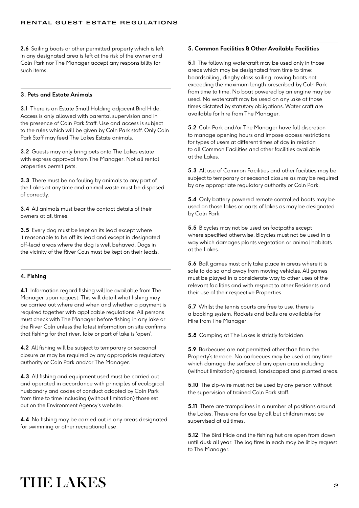**2.6** Sailing boats or other permitted property which is left in any designated area is left at the risk of the owner and Coln Park nor The Manager accept any responsibility for such items.

### **3. Pets and Estate Animals**

**3.1** There is an Estate Small Holding adjacent Bird Hide. Access is only allowed with parental supervision and in the presence of Coln Park Staff. Use and access is subject to the rules which will be given by Coln Park staff. Only Coln Park Staff may feed The Lakes Estate animals.

**3.2** Guests may only bring pets onto The Lakes estate with express approval from The Manager, Not all rental properties permit pets.

**3.3** There must be no fouling by animals to any part of the Lakes at any time and animal waste must be disposed of correctly.

**3.4** All animals must bear the contact details of their owners at all times.

**3.5** Every dog must be kept on its lead except where it reasonable to be off its lead and except in designated off-lead areas where the dog is well behaved. Dogs in the vicinity of the River Coln must be kept on their leads.

#### **4. Fishing**

**4.1** Information regard fishing will be available from The Manager upon request. This will detail what fishing may be carried out where and when and whether a payment is required together with applicable regulations. All persons must check with The Manager before fishing in any lake or the River Coln unless the latest information on site confirms that fishing for that river, lake or part of lake is 'open'.

**4.2** All fishing will be subject to temporary or seasonal closure as may be required by any appropriate regulatory authority or Coln Park and/or The Manager.

**4.3** All fishing and equipment used must be carried out and operated in accordance with principles of ecological husbandry and codes of conduct adopted by Coln Park from time to time including (without limitation) those set out on the Environment Agency's website.

**4.4** No fishing may be carried out in any areas designated for swimming or other recreational use.

#### **5. Common Facilities & Other Available Facilities**

**5.1** The following watercraft may be used only in those areas which may be designated from time to time: boardsailing, dinghy class sailing, rowing boats not exceeding the maximum length prescribed by Coln Park from time to time. No boat powered by an engine may be used. No watercraft may be used on any lake at those times dictated by statutory obligations. Water craft are available for hire from The Manager.

**5.2** Coln Park and/or The Manager have full discretion to manage opening hours and impose access restrictions for types of users at different times of day in relation to all Common Facilities and other facilities available at the Lakes.

**5.3** All use of Common Facilities and other facilities may be subject to temporary or seasonal closure as may be required by any appropriate regulatory authority or Coln Park.

**5.4** Only battery powered remote controlled boats may be used on those lakes or parts of lakes as may be designated by Coln Park.

**5.5** Bicycles may not be used on footpaths except where specified otherwise. Bicycles must not be used in a way which damages plants vegetation or animal habitats at the Lakes.

**5.6** Ball games must only take place in areas where it is safe to do so and away from moving vehicles. All games must be played in a considerate way to other uses of the relevant facilities and with respect to other Residents and their use of their respective Properties.

**5.7** Whilst the tennis courts are free to use, there is a booking system. Rackets and balls are available for Hire from The Manager.

**5.8** Camping at The Lakes is strictly forbidden.

**5.9** Barbecues are not permitted other than from the Property's terrace. No barbecues may be used at any time which damage the surface of any open area including (without limitation) grassed, landscaped and planted areas.

**5.10** The zip-wire must not be used by any person without the supervision of trained Coln Park staff.

**5.11** There are trampolines in a number of positions around the Lakes. These are for use by all but children must be supervised at all times.

**5.12** The Bird Hide and the fishing hut are open from dawn until dusk all year. The log fires in each may be lit by request to The Manager.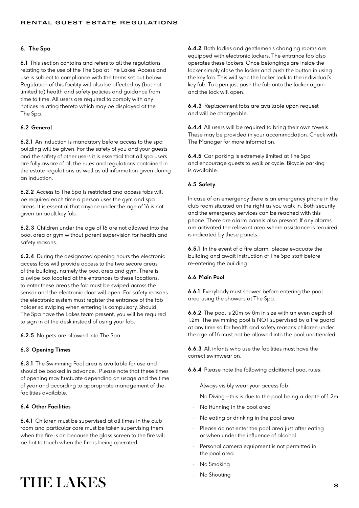### **6. The Spa**

**6.1** This section contains and refers to all the regulations relating to the use of the The Spa at The Lakes. Access and use is subject to compliance with the terms set out below. Regulation of this facility will also be affected by (but not limited to) health and safety policies and guidance from time to time. All users are required to comply with any notices relating thereto which may be displayed at the The Spa.

#### **6.2 General**

**6.2.1** An induction is mandatory before access to the spa building will be given. For the safety of you and your guests and the safety of other users it is essential that all spa users are fully aware of all the rules and regulations contained in the estate regulations as well as all information given during an induction.

**6.2.2** Access to The Spa is restricted and access fobs will be required each time a person uses the gym and spa areas. It is essential that anyone under the age of 16 is not given an adult key fob.

**6.2.3** Children under the age of 16 are not allowed into the pool area or gym without parent supervision for health and safety reasons.

**6.2.4** During the designated opening hours the electronic access fobs will provide access to the two secure areas of the building, namely the pool area and gym. There is a swipe box located at the entrances to these locations, to enter these areas the fob must be swiped across the sensor and the electronic door will open. For safety reasons the electronic system must register the entrance of the fob holder so swiping when entering is compulsory. Should The Spa have the Lakes team present, you will be required to sign in at the desk instead of using your fob.

**6.2.5** No pets are allowed into The Spa.

#### **6.3 Opening Times**

**6.3.1** The Swimming Pool area is available for use and should be booked in advance.. Please note that these times of opening may fluctuate depending on usage and the time of year and according to appropriate management of the facilities available.

### **6.4 Other Facilities**

**6.4.1** Children must be supervised at all times in the club room and particular care must be taken supervising them when the fire is on because the glass screen to the fire will be hot to touch when the fire is being operated.

#### **6.4.2** Both ladies and gentlemen's changing rooms are equipped with electronic lockers. The entrance fob also operates these lockers. Once belongings are inside the locker simply close the locker and push the button in using the key fob. This will sync the locker lock to the individual's key fob. To open just push the fob onto the locker again and the lock will open.

**6.4.3** Replacement fobs are available upon request and will be chargeable.

**6.4.4** All users will be required to bring their own towels. These may be provided in your accommodation. Check with The Manager for more information.

**6.4.5** Car parking is extremely limited at The Spa and encourage guests to walk or cycle. Bicycle parking is available.

#### **6.5 Safety**

In case of an emergency there is an emergency phone in the club room situated on the right as you walk in. Both security and the emergency services can be reached with this phone. There are alarm panels also present. If any alarms are activated the relevant area where assistance is required is indicated by these panels.

**6.5.1** In the event of a fire alarm, please evacuate the building and await instruction of The Spa staff before re-entering the building.

### **6.6 Main Pool**

**6.6.1** Everybody must shower before entering the pool area using the showers at The Spa.

**6.6.2** The pool is 20m by 8m in size with an even depth of 1.2m. The swimming pool is NOT supervised by a life guard at any time so for health and safety reasons children under the age of 16 must not be allowed into the pool unattended.

**6.6.3** All infants who use the facilities must have the correct swimwear on.

**6.6.4** Please note the following additional pool rules:

- Always visibly wear your access fob;
- · No Diving this is due to the pool being a depth of 1.2m
- · No Running in the pool area
- · No eating or drinking in the pool area
- Please do not enter the pool area just after eating or when under the influence of alcohol
- Personal camera equipment is not permitted in the pool area
- No Smoking
- No Shouting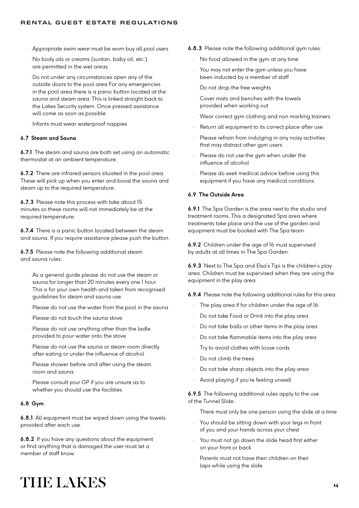### RENTAL GUEST ESTATE REGULATIONS

- Appropriate swim wear must be worn buy all pool users
- No body oils or creams (suntan, baby oil, etc.) are permitted in the wet areas
- Do not under any circumstances open any of the outside doors to the pool area For any emergencies in the pool area there is a panic button located at the sauna and steam area. This is linked straight back to the Lakes Security system. Once pressed assistance will come as soon as possible
- · Infants must wear waterproof nappies

#### **6.7 Steam and Sauna**

**6.7.1** The steam and sauna are both set using an automatic thermostat at an ambient temperature.

**6.7.2** There are infrared sensors situated in the pool area. These will pick up when you enter and boost the sauna and steam up to the required temperature.

**6.7.3** Please note this process with take about 15 minutes so these rooms will not immediately be at the required temperature.

**6.7.4** There is a panic button located between the steam and sauna. If you require assistance please push the button.

**6.7.5** Please note the following additional steam and sauna rules:

- As a general guide please do not use the steam or sauna for longer than 20 minutes every one 1 hour. This is for your own health and taken from recognised guidelines for steam and sauna use.
- Please do not use the water from the pool in the sauna
- Please do not touch the sauna stove
- Please do not use anything other than the ladle provided to pour water onto the stove
- Please do not use the sauna or steam room directly after eating or under the influence of alcohol
- Please shower before and after using the steam room and sauna
- Please consult your GP if you are unsure as to whether you should use the facilities

#### **6.8 Gym**

**6.8.1** All equipment must be wiped down using the towels provided after each use.

**6.8.2** If you have any questions about the equipment or find anything that is damaged the user must let a member of staff know.

### **6.8.3** Please note the following additional gym rules:

- · No food allowed in the gym at any time
- You may not enter the gym unless you have been inducted by a member of staff
- Do not drop the free weights
- · Cover mats and benches with the towels provided when working out
- Wear correct gym clothing and non marking trainers
- Return all equipment to its correct place after use
- Please refrain from indulging in any noisy activities that may distract other gym users
- Please do not use the gym when under the influence of alcohol
- Please do seek medical advice before using this equipment if you have any medical conditions

#### **6.9 The Outside Area**

**6.9.1** The Spa Garden is the area next to the studio and treatment rooms. This a designated Spa area where treatments take place and the use of the garden and equipment must be booked with The Spa team.

**6.9.2** Children under the age of 16 must supervised by adults at all times in The Spa Garden.

**6.9.3** Next to The Spa and Elsa's Tipi is the children's play area. Children must be supervised when they are using the equipment in the play area.

**6.9.4** Please note the following additional rules for this area:

- The play area if for children under the age of 16
- · Do not take Food or Drink into the play area
- · Do not take balls or other items in the play area
- · Do not take flammable items into the play area
- · Try to avoid clothes with loose cords
- Do not climb the trees
- · Do not take sharp objects into the play area
- Avoid playing if you're feeling unwell

**6.9.5** The following additional rules apply to the use of the Tunnel Slide:

- There must only be one person using the slide at a time
- You should be sitting down with your legs in front of you and your hands across your chest
- You must not go down the slide head first either on your front or back
- Parents must not have their children on their laps while using the slide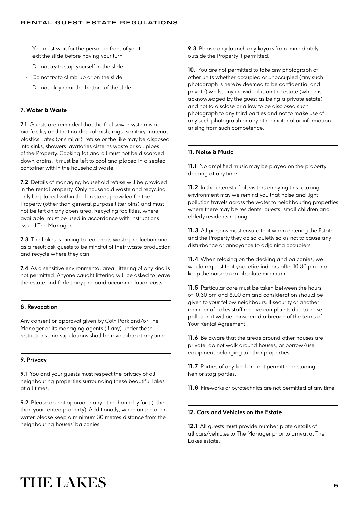- You must wait for the person in front of you to exit the slide before having your turn
- Do not try to stop yourself in the slide
- · Do not try to climb up or on the slide
- · Do not play near the bottom of the slide

### **7. Water & Waste**

**7.1** Guests are reminded that the foul sewer system is a bio-facility and that no dirt, rubbish, rags, sanitary material, plastics, latex (or similar), refuse or the like may be disposed into sinks, showers lavatories cisterns waste or soil pipes of the Property. Cooking fat and oil must not be discarded down drains, it must be left to cool and placed in a sealed container within the household waste.

**7.2** Details of managing household refuse will be provided in the rental property. Only household waste and recycling only be placed within the bin stores provided for the Property (other than general purpose litter bins) and must not be left on any open area. Recycling facilities, where available, must be used in accordance with instructions issued The Manager.

**7.3** The Lakes is aiming to reduce its waste production and as a result ask guests to be mindful of their waste production and recycle where they can.

**7.4** As a sensitive environmental area, littering of any kind is not permitted. Anyone caught littering will be asked to leave the estate and forfeit any pre-paid accommodation costs.

#### **8. Revocation**

Any consent or approval given by Coln Park and/or The Manager or its managing agents (if any) under these restrictions and stipulations shall be revocable at any time.

#### **9. Privacy**

**9.1** You and your guests must respect the privacy of all neighbouring properties surrounding these beautiful lakes at all times.

**9.2** Please do not approach any other home by foot (other than your rented property). Additionally, when on the open water please keep a minimum 30 metres distance from the neighbouring houses' balconies.

**9.3** Please only launch any kayaks from immediately outside the Property if permitted.

**10.** You are not permitted to take any photograph of other units whether occupied or unoccupied (any such photograph is hereby deemed to be confidential and private) whilst any individual is on the estate (which is acknowledged by the guest as being a private estate) and not to disclose or allow to be disclosed such photograph to any third parties and not to make use of any such photograph or any other material or information arising from such competence.

#### **11. Noise & Music**

**11.1** No amplified music may be played on the property decking at any time.

**11.2** In the interest of all visitors enjoying this relaxing environment may we remind you that noise and light pollution travels across the water to neighbouring properties where there may be residents, guests, small children and elderly residents retiring.

**11.3** All persons must ensure that when entering the Estate and the Property they do so quietly so as not to cause any disturbance or annoyance to adjoining occupiers.

**11.4** When relaxing on the decking and balconies, we would request that you retire indoors after 10.30 pm and keep the noise to an absolute minimum.

**11.5** Particular care must be taken between the hours of 10.30 pm and 8.00 am and consideration should be given to your fellow neighbours. If security or another member of Lakes staff receive complaints due to noise pollution it will be considered a breach of the terms of Your Rental Agreement.

**11.6** Be aware that the areas around other houses are private, do not walk around houses, or borrow/use equipment belonging to other properties.

**11.7** Parties of any kind are not permitted including hen or stag parties.

**11.8** Fireworks or pyrotechnics are not permitted at any time.

#### **12. Cars and Vehicles on the Estate**

**12.1** All guests must provide number plate details of all cars/vehicles to The Manager prior to arrival at The Lakes estate.